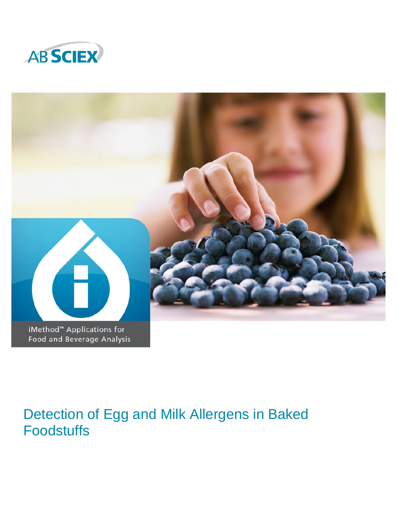



# Detection of Egg and Milk Allergens in Baked Foodstuffs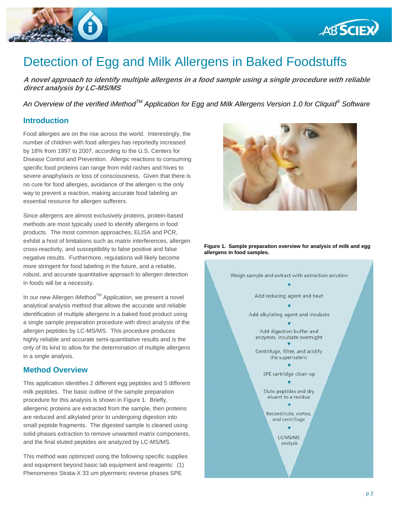

## Detection of Egg and Milk Allergens in Baked Foodstuffs

**A novel approach to identify multiple allergens in a food sample using a single procedure with reliable direct analysis by LC-MS/MS** 

*An Overview of the verified iMethodTM Application for Egg and Milk Allergens Version 1.0 for Cliquid® Software* 

#### **Introduction**

Food allergies are on the rise across the world. Interestingly, the number of children with food allergies has reportedly increased by 18% from 1997 to 2007, according to the U.S. Centers for Disease Control and Prevention. Allergic reactions to consuming specific food proteins can range from mild rashes and hives to severe anaphylaxis or loss of consciousness. Given that there is no cure for food allergies, avoidance of the allergen is the only way to prevent a reaction, making accurate food labeling an essential resource for allergen sufferers.

Since allergens are almost exclusively proteins, protein-based methods are most typically used to identify allergens in food products. The most common approaches, ELISA and PCR, exhibit a host of limitations such as matrix interferences, allergen cross-reactivity, and susceptibility to false positive and false negative results. Furthermore, regulations will likely become more stringent for food labeling in the future, and a reliable, robust, and accurate quantitative approach to allergen detection in foods will be a necessity.

In our new Allergen iMethod™ Application, we present a novel analytical analysis method that allows the accurate and reliable identification of multiple allergens in a baked food product using a single sample preparation procedure with direct analysis of the allergen peptides by LC-MS/MS. This procedure produces highly reliable and accurate semi-quantitative results and is the only of its kind to allow for the determination of multiple allergens in a single analysis.

#### **Method Overview**

This application identifies 2 different egg peptides and 5 different milk peptides. The basic outline of the sample preparation procedure for this analysis is shown in Figure 1. Briefly, allergenic proteins are extracted from the sample, then proteins are reduced and alkylated prior to undergoing digestion into small peptide fragments. The digested sample is cleaned using solid-phases extraction to remove unwanted matrix components, and the final eluted peptides are analyzed by LC-MS/MS.

This method was optimized using the following specific supplies and equipment beyond basic lab equipment and reagents: (1) Phenomenex Strata-X 33 um plyermeric reverse phases SPE



**ABSCIEX** 

**Figure 1. Sample preparation overview for analysis of milk and egg allergens in food samples.**